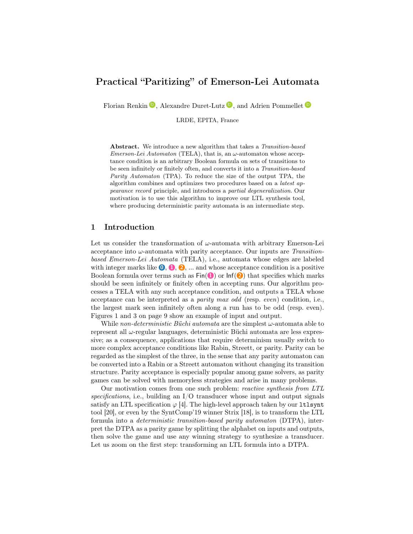# Practical "Paritizing" of Emerson-Lei Automata

Florian Renkin  $\bullet$ , Alexandre Duret-Lutz  $\bullet$ , and Adrien Pommellet  $\bullet$ 

LRDE, EPITA, France

Abstract. We introduce a new algorithm that takes a Transition-based *Emerson-Lei Automaton* (TELA), that is, an  $\omega$ -automaton whose acceptance condition is an arbitrary Boolean formula on sets of transitions to be seen infinitely or finitely often, and converts it into a Transition-based Parity Automaton (TPA). To reduce the size of the output TPA, the algorithm combines and optimizes two procedures based on a latest appearance record principle, and introduces a partial degeneralization. Our motivation is to use this algorithm to improve our LTL synthesis tool, where producing deterministic parity automata is an intermediate step.

# 1 Introduction

Let us consider the transformation of  $\omega$ -automata with arbitrary Emerson-Lei acceptance into  $\omega$ -automata with parity acceptance. Our inputs are Transitionbased Emerson-Lei Automata (TELA), i.e., automata whose edges are labeled with integer marks like  $\mathbf{0}, \mathbf{0}, \mathbf{0}, \ldots$  and whose acceptance condition is a positive Boolean formula over terms such as  $\text{Fin}(\textbf{1})$  or  $\text{Inf}(\textbf{2})$  that specifies which marks should be seen infinitely or finitely often in accepting runs. Our algorithm processes a TELA with any such acceptance condition, and outputs a TELA whose acceptance can be interpreted as a parity max odd (resp. even) condition, i.e., the largest mark seen infinitely often along a run has to be odd (resp. even). Figures [1](#page-8-0) and [3](#page-8-1) on page [9](#page-8-0) show an example of input and output.

While non-deterministic Büchi automata are the simplest  $\omega$ -automata able to represent all  $\omega$ -regular languages, deterministic Büchi automata are less expressive; as a consequence, applications that require determinism usually switch to more complex acceptance conditions like Rabin, Streett, or parity. Parity can be regarded as the simplest of the three, in the sense that any parity automaton can be converted into a Rabin or a Streett automaton without changing its transition structure. Parity acceptance is especially popular among game solvers, as parity games can be solved with memoryless strategies and arise in many problems.

Our motivation comes from one such problem: reactive synthesis from LTL specifications, i.e., building an  $I/O$  transducer whose input and output signals satisfy an LTL specification  $\varphi$  [\[4\]](#page-15-0). The high-level approach taken by our ltlsynt tool [\[20\]](#page-15-1), or even by the SyntComp'19 winner Strix [\[18\]](#page-15-2), is to transform the LTL formula into a deterministic transition-based parity automaton (DTPA), interpret the DTPA as a parity game by splitting the alphabet on inputs and outputs, then solve the game and use any winning strategy to synthesize a transducer. Let us zoom on the first step: transforming an LTL formula into a DTPA.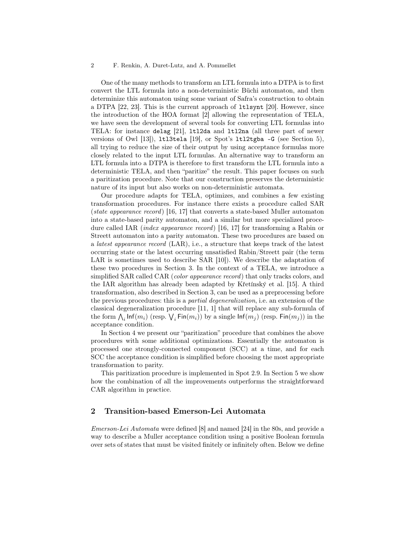One of the many methods to transform an LTL formula into a DTPA is to first convert the LTL formula into a non-deterministic Büchi automaton, and then determinize this automaton using some variant of Safra's construction to obtain a DTPA [\[22,](#page-15-3) [23\]](#page-15-4). This is the current approach of ltlsynt [\[20\]](#page-15-1). However, since the introduction of the HOA format [\[2\]](#page-14-0) allowing the representation of TELA, we have seen the development of several tools for converting LTL formulas into TELA: for instance delag [\[21\]](#page-15-5), ltl2da and ltl2na (all three part of newer versions of Owl [\[13\]](#page-15-6)), ltl3tela [\[19\]](#page-15-7), or Spot's ltl2tgba -G (see Section [5\)](#page-12-0), all trying to reduce the size of their output by using acceptance formulas more closely related to the input LTL formulas. An alternative way to transform an LTL formula into a DTPA is therefore to first transform the LTL formula into a deterministic TELA, and then "paritize" the result. This paper focuses on such a paritization procedure. Note that our construction preserves the deterministic nature of its input but also works on non-deterministic automata.

Our procedure adapts for TELA, optimizes, and combines a few existing transformation procedures. For instance there exists a procedure called SAR (state appearance record) [\[16,](#page-15-8) [17\]](#page-15-9) that converts a state-based Muller automaton into a state-based parity automaton, and a similar but more specialized procedure called IAR (index appearance record) [\[16,](#page-15-8) [17\]](#page-15-9) for transforming a Rabin or Streett automaton into a parity automaton. These two procedures are based on a latest appearance record (LAR), i.e., a structure that keeps track of the latest occurring state or the latest occurring unsatisfied Rabin/Streett pair (the term LAR is sometimes used to describe SAR [\[10\]](#page-15-10)). We describe the adaptation of these two procedures in Section [3.](#page-3-0) In the context of a TELA, we introduce a simplified SAR called CAR (*color appearance record*) that only tracks colors, and the IAR algorithm has already been adapted by Křetínský et al. [\[15\]](#page-15-11). A third transformation, also described in Section [3,](#page-3-0) can be used as a preprocessing before the previous procedures: this is a partial degeneralization, i.e. an extension of the classical degeneralization procedure [\[11,](#page-15-12) [1\]](#page-14-1) that will replace any sub-formula of the form  $\bigwedge_i \mathsf{Inf}(m_i)$  (resp.  $\bigvee_i \mathsf{Fin}(m_i))$  by a single  $\mathsf{Inf}(m_j)$  (resp.  $\mathsf{Fin}(m_j))$  in the acceptance condition.

In Section [4](#page-10-0) we present our "paritization" procedure that combines the above procedures with some additional optimizations. Essentially the automaton is processed one strongly-connected component (SCC) at a time, and for each SCC the acceptance condition is simplified before choosing the most appropriate transformation to parity.

This paritization procedure is implemented in Spot 2.9. In Section [5](#page-12-0) we show how the combination of all the improvements outperforms the straightforward CAR algorithm in practice.

## 2 Transition-based Emerson-Lei Automata

Emerson-Lei Automata were defined [\[8\]](#page-15-13) and named [\[24\]](#page-15-14) in the 80s, and provide a way to describe a Muller acceptance condition using a positive Boolean formula over sets of states that must be visited finitely or infinitely often. Below we define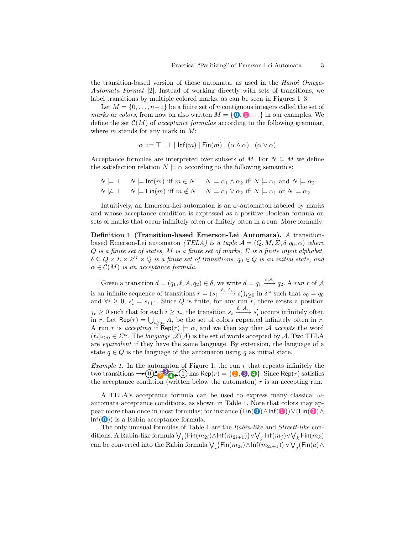the transition-based version of those automata, as used in the Hanoi Omega-Automata Format [\[2\]](#page-14-0). Instead of working directly with sets of transitions, we label transitions by multiple colored marks, as can be seen in Figures [1](#page-8-0)[–3.](#page-8-1)

Let  $M = \{0, \ldots, n-1\}$  be a finite set of n contiguous integers called the set of *marks* or *colors*, from now on also written  $M = \{ \mathbf{0}, \mathbf{0}, \ldots \}$  in our examples. We define the set  $\mathcal{C}(M)$  of *acceptance formulas* according to the following grammar, where  $m$  stands for any mark in  $M$ :

$$
\alpha ::= \top | \bot | \ln f(m) | \operatorname{Fin}(m) | (\alpha \wedge \alpha) | (\alpha \vee \alpha)
$$

Acceptance formulas are interpreted over subsets of M. For  $N \subseteq M$  we define the satisfaction relation  $N \models \alpha$  according to the following semantics:

$$
N \models \top \quad N \models \text{Inf}(m) \text{ iff } m \in N \quad N \models \alpha_1 \land \alpha_2 \text{ iff } N \models \alpha_1 \text{ and } N \models \alpha_2
$$
  

$$
N \not\models \bot \quad N \models \text{Fin}(m) \text{ iff } m \notin N \quad N \models \alpha_1 \lor \alpha_2 \text{ iff } N \models \alpha_1 \text{ or } N \models \alpha_2
$$

Intuitively, an Emerson-Lei automaton is an  $\omega$ -automaton labeled by marks and whose acceptance condition is expressed as a positive Boolean formula on sets of marks that occur infinitely often or finitely often in a run. More formally:

Definition 1 (Transition-based Emerson-Lei Automata). A transitionbased Emerson-Lei automaton (TELA) is a tuple  $\mathcal{A} = (Q, M, \Sigma, \delta, q_0, \alpha)$  where  $Q$  is a finite set of states, M is a finite set of marks,  $\Sigma$  is a finite input alphabet,  $\delta \subseteq Q \times \Sigma \times 2^M \times Q$  is a finite set of transitions,  $q_0 \in Q$  is an initial state, and  $\alpha \in \mathcal{C}(M)$  is an acceptance formula.

Given a transition  $d = (q_1, \ell, A, q_2) \in \delta$ , we write  $d = q_1 \stackrel{\ell, A}{\longrightarrow} q_2$ . A run r of A is an infinite sequence of transitions  $r = (s_i \xrightarrow{\ell_i, A_i} s'_i)_{i \geq 0}$  in  $\delta^\omega$  such that  $s_0 = q_0$ and  $\forall i \geq 0, s'_{i} = s_{i+1}$ . Since Q is finite, for any run r, there exists a position  $j_r \geq 0$  such that for each  $i \geq j_r$ , the transition  $s_i \xrightarrow{\ell_i, A_i} s'_i$  occurs infinitely often in r. Let  $\mathsf{Rep}(r) = \bigcup_{i \geq j_r} A_i$  be the set of colors **rep**eated infinitely often in r. A run r is accepting if  $\mathsf{Rep}(r) \models \alpha$ , and we then say that A accepts the word  $(\ell_i)_{i>0} \in \Sigma^\omega$ . The language  $\mathscr{L}(\mathcal{A})$  is the set of words accepted by A. Two TELA are equivalent if they have the same language. By extension, the language of a state  $q \in Q$  is the language of the automaton using q as initial state.

Example 1. In the automaton of Figure [1,](#page-8-0) the run  $r$  that repeats infinitely the two transitions  $\rightarrow$  0  $\rightarrow$  0  $\rightarrow$  0  $\rightarrow$  1 has Rep(r) = {0, 0, 0}. Since Rep(r) satisfies the acceptance condition (written below the automaton)  $r$  is an accepting run.

A TELA's acceptance formula can be used to express many classical  $\omega$ automata acceptance conditions, as shown in Table [1.](#page-3-1) Note that colors may appear more than once in most formulas; for instance  $(\text{Fin}(\textbf{0}) \wedge \text{Inf}(\textbf{0})) \vee (\text{Fin}(\textbf{0}) \wedge$  $\mathsf{Inf}(\mathbf{O})$  is a Rabin acceptance formula.

The only unusual formulas of Table [1](#page-3-1) are the Rabin-like and Streett-like conditions. A Rabin-like formula  $\bigvee_i \big(\mathsf{Fin}(m_{2i}) \wedge \mathsf{Inf}(m_{2i+1})\big) \vee \bigvee_j \mathsf{Inf}(m_j) \vee \bigvee_k \mathsf{Fin}(m_k)$ can be converted into the Rabin formula  $\bigvee_i \big(\mathsf{Fin}(m_{2i}) \wedge \mathsf{Inf}(m_{2i+1})\big) \vee \bigvee_j \big(\mathsf{Fin}(a) \wedge \big)$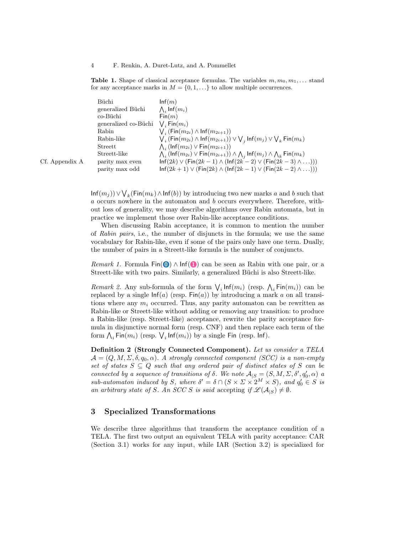<span id="page-3-1"></span>**Table 1.** Shape of classical acceptance formulas. The variables  $m, m_0, m_1, \ldots$  stand for any acceptance marks in  $M = \{0, 1, ...\}$  to allow multiple occurrences.

| Büchi                | Inf(m)                                                                                                                                     |
|----------------------|--------------------------------------------------------------------------------------------------------------------------------------------|
| generalized Büchi    | $\Lambda_i$ Inf $(m_i)$                                                                                                                    |
| co-Büchi             | $\mathsf{Fin}(m)$                                                                                                                          |
| generalized co-Büchi | $\bigvee_i$ Fin $(m_i)$                                                                                                                    |
| Rabin                | $\bigvee_i$ (Fin $(m_{2i}) \wedge \ln f(m_{2i+1}))$ )                                                                                      |
| Rabin-like           | $\bigvee_i$ (Fin $(m_{2i}) \wedge \text{Inf}(m_{2i+1})$ ) $\vee \bigvee_i \text{Inf}(m_j) \vee \bigvee_k \text{Fin}(m_k)$                  |
| Streett              | $\bigwedge_i (\ln f(m_{2i}) \vee \text{Fin}(m_{2i+1}))$                                                                                    |
| Streett-like         | $\bigwedge_i (\mathsf{Inf}(m_{2i}) \vee \mathsf{Fin}(m_{2i+1})) \wedge \bigwedge_i \mathsf{Inf}(m_j) \wedge \bigwedge_k \mathsf{Fin}(m_k)$ |
| parity max even      | $\ln f(2k) \vee (\text{Fin}(2k-1) \wedge (\ln f(2k-2) \vee (\text{Fin}(2k-3) \wedge \ldots)))$                                             |
| parity max odd       | $\text{Inf}(2k+1) \vee (\text{Fin}(2k) \wedge (\text{Inf}(2k-1) \vee (\text{Fin}(2k-2) \wedge \ldots)))$                                   |

Cf. Appendix A

 $\mathsf{Inf}(m_j)) \vee \bigvee_k (\mathsf{Fin}(m_k) \wedge \mathsf{Inf}(b))$  by introducing two new marks a and b such that a occurs nowhere in the automaton and b occurs everywhere. Therefore, without loss of generality, we may describe algorithms over Rabin automata, but in practice we implement those over Rabin-like acceptance conditions.

When discussing Rabin acceptance, it is common to mention the number of Rabin pairs, i.e., the number of disjuncts in the formula; we use the same vocabulary for Rabin-like, even if some of the pairs only have one term. Dually, the number of pairs in a Streett-like formula is the number of conjuncts.

<span id="page-3-3"></span>*Remark 1.* Formula  $\text{Fin}(\bullet) \wedge \text{Inf}(\bullet)$  can be seen as Rabin with one pair, or a Streett-like with two pairs. Similarly, a generalized Büchi is also Streett-like.

<span id="page-3-2"></span>*Remark 2.* Any sub-formula of the form  $\bigvee_i \text{Inf}(m_i)$  (resp.  $\bigwedge_i \text{Fin}(m_i)$ ) can be replaced by a single  $\text{Inf}(a)$  (resp.  $\text{Fin}(a)$ ) by introducing a mark a on all transitions where any  $m_i$  occurred. Thus, any parity automaton can be rewritten as Rabin-like or Streett-like without adding or removing any transition: to produce a Rabin-like (resp. Streett-like) acceptance, rewrite the parity acceptance formula in disjunctive normal form (resp. CNF) and then replace each term of the form  $\bigwedge_i \mathsf{Fin}(m_i)$  (resp.  $\bigvee_i \mathsf{Inf}(m_i)$ ) by a single Fin (resp. Inf).

Definition 2 (Strongly Connected Component). Let us consider a TELA  $\mathcal{A} = (Q, M, \Sigma, \delta, q_0, \alpha)$ . A strongly connected component (SCC) is a non-empty set of states  $S \subseteq Q$  such that any ordered pair of distinct states of S can be connected by a sequence of transitions of  $\delta$ . We note  $\mathcal{A}_{|S} = (S, M, \Sigma, \delta', q'_0, \alpha)$  a sub-automaton induced by S, where  $\delta' = \delta \cap (S \times \Sigma \times 2^M \times S)$ , and  $q'_0 \in S$  is an arbitrary state of S. An SCC S is said accepting if  $\mathscr{L}(\mathcal{A}_{|S}) \neq \emptyset$ .

## <span id="page-3-0"></span>3 Specialized Transformations

We describe three algorithms that transform the acceptance condition of a TELA. The first two output an equivalent TELA with parity acceptance: CAR (Section [3.1\)](#page-4-0) works for any input, while IAR (Section [3.2\)](#page-5-0) is specialized for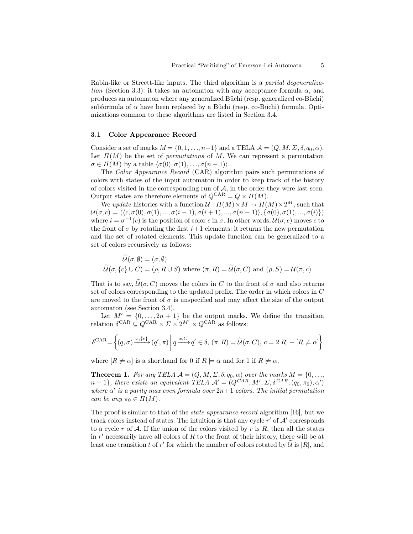Rabin-like or Streett-like inputs. The third algorithm is a partial degeneraliza-tion (Section [3.3\)](#page-6-0): it takes an automaton with any acceptance formula  $\alpha$ , and produces an automaton where any generalized Büchi (resp. generalized co-Büchi) subformula of  $\alpha$  have been replaced by a Büchi (resp. co-Büchi) formula. Optimizations common to these algorithms are listed in Section [3.4.](#page-9-0)

#### <span id="page-4-0"></span>3.1 Color Appearance Record

Consider a set of marks  $M = \{0, 1, ..., n-1\}$  and a TELA  $\mathcal{A} = (Q, M, \Sigma, \delta, q_0, \alpha)$ . Let  $\Pi(M)$  be the set of *permutations* of M. We can represent a permutation  $\sigma \in \Pi(M)$  by a table  $\langle \sigma(0), \sigma(1), \ldots, \sigma(n-1)\rangle$ .

The Color Appearance Record (CAR) algorithm pairs such permutations of colors with states of the input automaton in order to keep track of the history of colors visited in the corresponding run of  $A$ , in the order they were last seen. Output states are therefore elements of  $Q^{\text{CAR}} = Q \times \Pi(M)$ .

We update histories with a function  $\mathcal{U}: \Pi(M) \times M \to \Pi(M) \times 2^M$ , such that  $\mathcal{U}(\sigma, c) = (\langle c, \sigma(0), \sigma(1), ..., \sigma(i-1), \sigma(i+1), ..., \sigma(n-1) \rangle, \{\sigma(0), \sigma(1), ..., \sigma(i)\})$ where  $i = \sigma^{-1}(c)$  is the position of color c in  $\sigma$ . In other words,  $\mathcal{U}(\sigma, c)$  moves c to the front of  $\sigma$  by rotating the first  $i+1$  elements: it returns the new permutation and the set of rotated elements. This update function can be generalized to a set of colors recursively as follows:

$$
\widetilde{\mathcal{U}}(\sigma,\emptyset) = (\sigma,\emptyset)
$$
\n
$$
\widetilde{\mathcal{U}}(\sigma,\{c\} \cup C) = (\rho,R \cup S) \text{ where } (\pi,R) = \widetilde{\mathcal{U}}(\sigma,C) \text{ and } (\rho,S) = \mathcal{U}(\pi,c)
$$

That is to say,  $\mathcal{U}(\sigma, C)$  moves the colors in C to the front of  $\sigma$  and also returns set of colors corresponding to the updated prefix. The order in which colors in C are moved to the front of  $\sigma$  is unspecified and may affect the size of the output automaton (see Section [3.4\)](#page-9-0).

Let  $M' = \{0, \ldots, 2n + 1\}$  be the output marks. We define the transition relation  $\delta^{\text{CAR}} \subseteq Q^{\text{CAR}} \times \Sigma \times 2^{M'} \times Q^{\text{CAR}}$  as follows:

$$
\delta^{\text{CAR}} = \left\{ (q, \sigma) \xrightarrow{x, \{c\}} (q', \pi) \middle| q \xrightarrow{x, C} q' \in \delta, (\pi, R) = \widetilde{\mathcal{U}}(\sigma, C), c = 2|R| + [R \not\models \alpha] \right\}
$$

where  $[R \not\models \alpha]$  is a shorthand for 0 if  $R \models \alpha$  and for 1 if  $R \not\models \alpha$ .

**Theorem 1.** For any TELA  $A = (Q, M, \Sigma, \delta, q_0, \alpha)$  over the marks  $M = \{0, \ldots, \delta, q_0, \alpha\}$  $n-1\}$ , there exists an equivalent TELA  $\mathcal{A}' = (Q^{CAR}, M', \Sigma, \delta^{CAR}, (q_0, \pi_0), \alpha')$ where  $\alpha'$  is a parity max even formula over  $2n+1$  colors. The initial permutation can be any  $\pi_0 \in \Pi(M)$ .

The proof is similar to that of the *state appearance record* algorithm [\[16\]](#page-15-8), but we track colors instead of states. The intuition is that any cycle  $r'$  of  $\mathcal{A}'$  corresponds to a cycle r of A. If the union of the colors visited by r is R, then all the states in  $r'$  necessarily have all colors of  $R$  to the front of their history, there will be at least one transition t of  $r'$  for which the number of colors rotated by  $\widetilde{\mathcal{U}}$  is  $|R|$ , and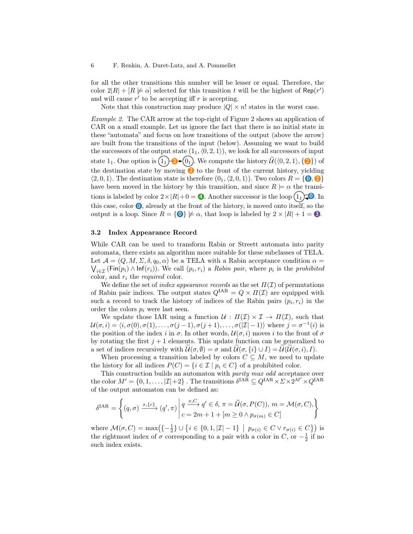for all the other transitions this number will be lesser or equal. Therefore, the color  $2|R| + [R \not\models \alpha]$  selected for this transition t will be the highest of Rep(r') and will cause  $r'$  to be accepting iff r is accepting.

Note that this construction may produce  $|Q| \times n!$  states in the worst case.

Example 2. The CAR arrow at the top-right of Figure [2](#page-8-2) shows an application of CAR on a small example. Let us ignore the fact that there is no initial state in these "automata" and focus on how transitions of the output (above the arrow) are built from the transitions of the input (below). Assuming we want to build the successors of the output state  $(1, \langle 0, 2, 1 \rangle)$ , we look for all successors of input state 1<sub>1</sub>. One option is  $(1_1) \bullet (0_1)$ . We compute the history  $\widetilde{\mathcal{U}}(\langle 0, 2, 1 \rangle, \{ \bullet \})$  of the destination state by moving  $\bullet$  to the front of the current history, yielding  $\langle 2, 0, 1 \rangle$ . The destination state is therefore  $(0_1, \langle 2, 0, 1 \rangle)$ . Two colors  $R = \{ \bullet, \bullet \}$ have been moved in the history by this transition, and since  $R \models \alpha$  the transitions is labeled by color  $2 \times |R| + 0 = \bullet$ . Another successor is the loop  $(1_1)$ . In this case, color  $\mathbf{0}$ , already at the front of the history, is moved onto itself, so the output is a loop. Since  $R = \{ \mathbf{0} \} \not\models \alpha$ , that loop is labeled by  $2 \times |R| + 1 = \mathbf{\Theta}$ .

### <span id="page-5-0"></span>3.2 Index Appearance Record

While CAR can be used to transform Rabin or Streett automata into parity automata, there exists an algorithm more suitable for these subclasses of TELA. Let  $\mathcal{A} = (Q, M, \Sigma, \delta, q_0, \alpha)$  be a TELA with a Rabin acceptance condition  $\alpha =$  $\bigvee_{i\in\mathcal{I}} (\textsf{Fin}(p_i) \wedge \textsf{Inf}(r_i))$ . We call  $(p_i, r_i)$  a *Rabin pair*, where  $p_i$  is the prohibited color, and  $r_i$  the required color.

We define the set of *index appearance records* as the set  $\Pi(\mathcal{I})$  of permutations of Rabin pair indices. The output states  $Q^{IAR} = Q \times \Pi(\mathcal{I})$  are equipped with such a record to track the history of indices of the Rabin pairs  $(p_i, r_i)$  in the order the colors  $p_i$  were last seen.

We update those IAR using a function  $\mathcal{U}: \Pi(\mathcal{I}) \times \mathcal{I} \to \Pi(\mathcal{I})$ , such that  $\mathcal{U}(\sigma, i) = \langle i, \sigma(0), \sigma(1), \ldots, \sigma(j - 1), \sigma(j + 1), \ldots, \sigma(|\mathcal{I}| - 1)\rangle$  where  $j = \sigma^{-1}(i)$  is the position of the index i in  $\sigma$ . In other words,  $\mathcal{U}(\sigma, i)$  moves i to the front of  $\sigma$ by rotating the first  $j + 1$  elements. This update function can be generalized to a set of indices recursively with  $\mathcal{U}(\sigma, \emptyset) = \sigma$  and  $\mathcal{U}(\sigma, \{i\} \cup I) = \mathcal{U}(\mathcal{U}(\sigma, i), I)$ .

When processing a transition labeled by colors  $C \subseteq M$ , we need to update the history for all indices  $P(C) = \{i \in \mathcal{I} \mid p_i \in C\}$  of a prohibited color.

This construction builds an automaton with parity max odd acceptance over the color  $M' = \{0, 1, ..., |\mathcal{I}|+2\}$ . The transitions  $\delta^{\text{IAR}} \subseteq Q^{\text{IAR}} \times \Sigma \times 2^{M'} \times Q^{\text{IAR}}$ of the output automaton can be defined as:

$$
\delta^{\text{IAR}} = \left\{ (q, \sigma) \xrightarrow{x, \{c\}} (q', \pi) \middle| \begin{array}{l} q \xrightarrow{x, C} q' \in \delta, \pi = \widetilde{\mathcal{U}}(\sigma, P(C)), m = \mathcal{M}(\sigma, C), \\ c = 2m + 1 + [m \ge 0 \land p_{\sigma(m)} \in C] \end{array} \right\}
$$

where  $\mathcal{M}(\sigma, C) = \max\left\{ \left\{ -\frac{1}{2} \right\} \cup \left\{ i \in \{0, 1, |\mathcal{I}| - 1\} \mid p_{\sigma(i)} \in C \vee r_{\sigma(i)} \in C \right\} \right\}$  is the rightmost index of  $\sigma$  corresponding to a pair with a color in C, or  $-\frac{1}{2}$  if no such index exists.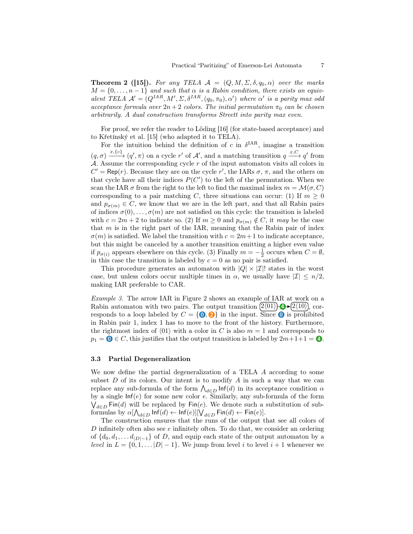**Theorem 2 ([\[15\]](#page-15-11)).** For any TELA  $A = (Q, M, \Sigma, \delta, q_0, \alpha)$  over the marks  $M = \{0, \ldots, n-1\}$  and such that  $\alpha$  is a Rabin condition, there exists an equivalent TELA  $\mathcal{A}' = (Q^{IAR}, M', \Sigma, \delta^{IAR}, (q_0, \pi_0), \alpha')$  where  $\alpha'$  is a parity max odd acceptance formula over  $2n + 2$  colors. The initial permutation  $\pi_0$  can be chosen arbitrarily. A dual construction transforms Streett into parity max even.

For proof, we refer the reader to Löding [\[16\]](#page-15-8) (for state-based acceptance) and to Křetínský et al. [\[15\]](#page-15-11) (who adapted it to TELA).

For the intuition behind the definition of c in  $\delta^{\text{IAR}}$ , imagine a transition  $(q, \sigma) \xrightarrow{x, \{c\}} (q', \pi)$  on a cycle r' of A', and a matching transition  $q \xrightarrow{x, C} q'$  from  $\overline{\mathcal{A}}$ . Assume the corresponding cycle r of the input automaton visits all colors in  $C' = \mathsf{Rep}(r)$ . Because they are on the cycle r', the IARs  $\sigma$ ,  $\pi$ , and the others on that cycle have all their indices  $P(C')$  to the left of the permutation. When we scan the IAR  $\sigma$  from the right to the left to find the maximal index  $m = \mathcal{M}(\sigma, C)$ corresponding to a pair matching C, three situations can occur: (1) If  $m \geq 0$ and  $p_{\sigma(m)} \in C$ , we know that we are in the left part, and that all Rabin pairs of indices  $\sigma(0), \ldots, \sigma(m)$  are not satisfied on this cycle: the transition is labeled with  $c = 2m + 2$  to indicate so. (2) If  $m \ge 0$  and  $p_{\sigma(m)} \notin C$ , it may be the case that  $m$  is in the right part of the IAR, meaning that the Rabin pair of index  $\sigma(m)$  is satisfied. We label the transition with  $c = 2m+1$  to indicate acceptance, but this might be canceled by a another transition emitting a higher even value if  $p_{\sigma(i)}$  appears elsewhere on this cycle. (3) Finally  $m = -\frac{1}{2}$  occurs when  $C = \emptyset$ , in this case the transition is labeled by  $c = 0$  as no pair is satisfied.

This procedure generates an automaton with  $|Q| \times |Z|$ ! states in the worst case, but unless colors occur multiple times in  $\alpha$ , we usually have  $|\mathcal{I}| \leq n/2$ , making IAR preferable to CAR.

Example 3. The arrow IAR in Figure [2](#page-8-2) shows an example of IAR at work on a Rabin automaton with two pairs. The output transition  $(2\langle 01 \rangle) \cdot (2\langle 10 \rangle)$ , corresponds to a loop labeled by  $C = \{ \mathbf{0}, \mathbf{2} \}$  in the input. Since  $\mathbf{0}$  is prohibited in Rabin pair 1, index 1 has to move to the front of the history. Furthermore, the rightmost index of  $\langle 01 \rangle$  with a color in C is also  $m = 1$  and corresponds to  $p_1 = \mathbf{0} \in C$ , this justifies that the output transition is labeled by  $2m+1+1 = \mathbf{0}$ .

### <span id="page-6-0"></span>3.3 Partial Degeneralization

We now define the partial degeneralization of a TELA A according to some subset  $D$  of its colors. Our intent is to modify  $A$  in such a way that we can replace any sub-formula of the form  $\bigwedge_{d \in D} \mathsf{Inf}(d)$  in its acceptance condition  $\alpha$ by a single  $\text{Inf}(e)$  for some new color e. Similarly, any sub-formula of the form  $\bigvee_{d\in D}$  Fin(d) will be replaced by Fin(e). We denote such a substitution of subformulas by  $\alpha[\bigwedge_{d\in D} \mathsf{Inf}(d) \leftarrow \mathsf{Inf}(e)][\bigvee_{d\in D} \mathsf{Fin}(d) \leftarrow \mathsf{Fin}(e)].$ 

The construction ensures that the runs of the output that see all colors of D infinitely often also see  $e$  infinitely often. To do that, we consider an ordering of  $\{d_0, d_1, \ldots d_{|D|-1}\}$  of D, and equip each state of the output automaton by a level in  $L = \{0, 1, \ldots |D|-1\}$ . We jump from level i to level  $i + 1$  whenever we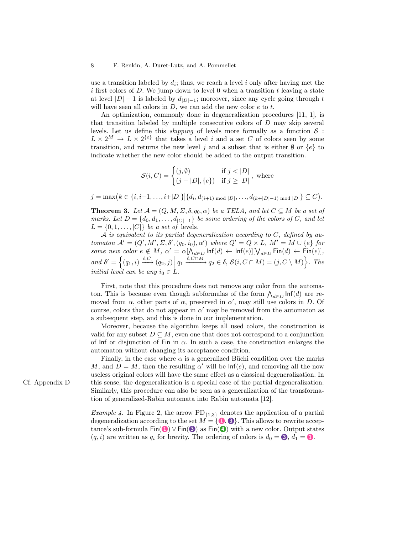use a transition labeled by  $d_i$ ; thus, we reach a level i only after having met the i first colors of D. We jump down to level 0 when a transition  $t$  leaving a state at level  $|D| - 1$  is labeled by  $d_{|D|-1}$ ; moreover, since any cycle going through t will have seen all colors in  $D$ , we can add the new color  $e$  to  $t$ .

An optimization, commonly done in degeneralization procedures [\[11,](#page-15-12) [1\]](#page-14-1), is that transition labeled by multiple consecutive colors of D may skip several levels. Let us define this *skipping* of levels more formally as a function  $S$ :  $L \times 2^M \rightarrow L \times 2^{\{e\}}$  that takes a level i and a set C of colors seen by some transition, and returns the new level j and a subset that is either  $\emptyset$  or  $\{e\}$  to indicate whether the new color should be added to the output transition.

$$
\mathcal{S}(i, C) = \begin{cases} (j, \emptyset) & \text{if } j < |D| \\ (j - |D|, \{e\}) & \text{if } j \ge |D| \end{cases}
$$
, where

 $j = \max (k \in \{i, i+1, \ldots, i+|D|\} \big\{ d_i, d_{(i+1) \bmod |D|}, \ldots, d_{(k+|D|-1) \bmod |D|} \} \subseteq C).$ 

**Theorem 3.** Let  $A = (Q, M, \Sigma, \delta, q_0, \alpha)$  be a TELA, and let  $C \subseteq M$  be a set of marks. Let  $D = \{d_0, d_1, \ldots, d_{|C|-1}\}\$  be some ordering of the colors of C, and let  $L = \{0, 1, \ldots, |C|\}$  be a set of levels.

 $A$  is equivalent to its partial degeneralization according to  $C$ , defined by automaton  $\mathcal{A}' = (Q', M', \Sigma, \delta', (q_0, i_0), \alpha')$  where  $Q' = Q \times L$ ,  $M' = M \cup \{e\}$  for some new color  $e \notin M$ ,  $\alpha' = \alpha[\bigwedge_{d \in D} \text{Inf}(d) \leftarrow \text{Inf}(e)][\bigvee_{d \in D} \text{Fin}(d) \leftarrow \text{Fin}(e)],$ and  $\delta' = \left\{ (q_1, i) \xrightarrow{\ell, C} (q_2, j) \middle| q_1 \xrightarrow{\ell, C \cap M} q_2 \in \delta, \mathcal{S}(i, C \cap M) = (j, C \setminus M) \right\}.$  The initial level can be any  $i_0 \in L$ .

First, note that this procedure does not remove any color from the automaton. This is because even though subformulas of the form  $\bigwedge_{d \in D} \mathsf{Inf}(d)$  are removed from  $\alpha$ , other parts of  $\alpha$ , preserved in  $\alpha'$ , may still use colors in D. Of course, colors that do not appear in  $\alpha'$  may be removed from the automaton as a subsequent step, and this is done in our implementation.

Moreover, because the algorithm keeps all used colors, the construction is valid for any subset  $D \subseteq M$ , even one that does not correspond to a conjunction of Inf or disjunction of Fin in  $\alpha$ . In such a case, the construction enlarges the automaton without changing its acceptance condition.

Finally, in the case where  $\alpha$  is a generalized Büchi condition over the marks M, and  $D = M$ , then the resulting  $\alpha'$  will be  $\text{Inf}(e)$ , and removing all the now useless original colors will have the same effect as a classical degeneralization. In Cf. Appendix [D](#page-20-0) this sense, the degeneralization is a special case of the partial degeneralization. Similarly, this procedure can also be seen as a generalization of the transformation of generalized-Rabin automata into Rabin automata [\[12\]](#page-15-15).

> Example 4. In Figure [2,](#page-8-2) the arrow  $PD_{\{1,3\}}$  denotes the application of a partial degeneralization according to the set  $M = \{ \bullet, \bullet \}$ . This allows to rewrite acceptance's sub-formula  $\text{Fin}(\textbf{O}) \vee \text{Fin}(\textbf{O})$  as  $\text{Fin}(\textbf{O})$  with a new color. Output states  $(q, i)$  are written as  $q_i$  for brevity. The ordering of colors is  $d_0 = \mathbf{0}$ ,  $d_1 = \mathbf{0}$ .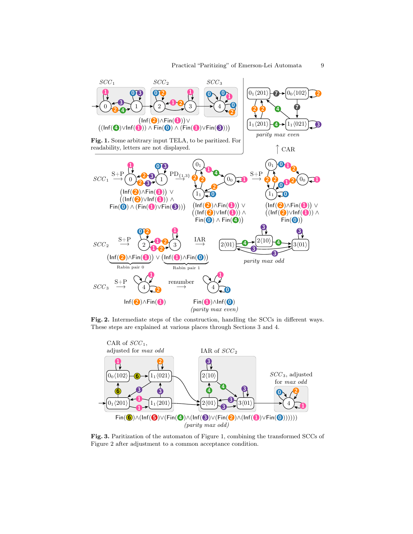<span id="page-8-0"></span>

<span id="page-8-2"></span>Fig. 2. Intermediate steps of the construction, handling the SCCs in different ways. These steps are explained at various places through Sections [3](#page-3-0) and [4.](#page-10-0)



<span id="page-8-1"></span>Fig. 3. Paritization of the automaton of Figure [1,](#page-8-0) combining the transformed SCCs of Figure [2](#page-8-2) after adjustment to a common acceptance condition.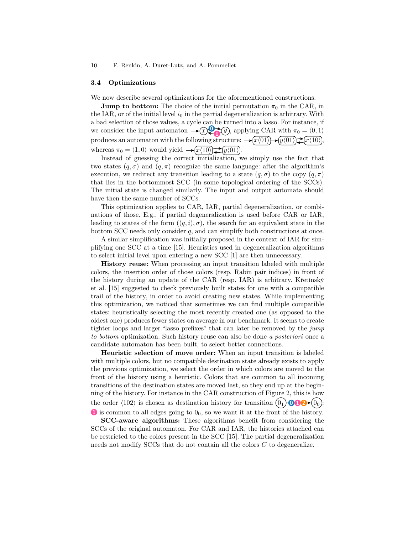#### <span id="page-9-0"></span>3.4 Optimizations

We now describe several optimizations for the aforementioned constructions.

**Jump to bottom:** The choice of the initial permutation  $\pi_0$  in the CAR, in the IAR, or of the initial level  $i_0$  in the partial degeneralization is arbitrary. With a bad selection of those values, a cycle can be turned into a lasso. For instance, if we consider the input automaton  $\rightarrow$   $\mathcal{L}$   $\mathcal{L}$   $\mathcal{L}$   $\mathcal{L}$  applying CAR with  $\pi_0 = \langle 0, 1 \rangle$ produces an automaton with the following structure:  $\rightarrow$   $(x\langle 01 \rangle)$   $\rightarrow$   $(y\langle 01 \rangle)$   $(x\langle 10 \rangle)$ , whereas  $\pi_0 = \langle 1, 0 \rangle$  would yield  $\rightarrow x(10)$ .

Instead of guessing the correct initialization, we simply use the fact that two states  $(q, \sigma)$  and  $(q, \pi)$  recognize the same language: after the algorithm's execution, we redirect any transition leading to a state  $(q, \sigma)$  to the copy  $(q, \pi)$ that lies in the bottommost SCC (in some topological ordering of the SCCs). The initial state is changed similarly. The input and output automata should have then the same number of SCCs.

This optimization applies to CAR, IAR, partial degeneralization, or combinations of those. E.g., if partial degeneralization is used before CAR or IAR, leading to states of the form  $((q, i), \sigma)$ , the search for an equivalent state in the bottom SCC needs only consider  $q$ , and can simplify both constructions at once.

A similar simplification was initially proposed in the context of IAR for simplifying one SCC at a time [\[15\]](#page-15-11). Heuristics used in degeneralization algorithms to select initial level upon entering a new SCC [\[1\]](#page-14-1) are then unnecessary.

History reuse: When processing an input transition labeled with multiple colors, the insertion order of those colors (resp. Rabin pair indices) in front of the history during an update of the CAR (resp. IAR) is arbitrary. Křetínský et al. [\[15\]](#page-15-11) suggested to check previously built states for one with a compatible trail of the history, in order to avoid creating new states. While implementing this optimization, we noticed that sometimes we can find multiple compatible states: heuristically selecting the most recently created one (as opposed to the oldest one) produces fewer states on average in our benchmark. It seems to create tighter loops and larger "lasso prefixes" that can later be removed by the jump to bottom optimization. Such history reuse can also be done a posteriori once a candidate automaton has been built, to select better connections.

Heuristic selection of move order: When an input transition is labeled with multiple colors, but no compatible destination state already exists to apply the previous optimization, we select the order in which colors are moved to the front of the history using a heuristic. Colors that are common to all incoming transitions of the destination states are moved last, so they end up at the beginning of the history. For instance in the CAR construction of Figure [2,](#page-8-2) this is how the order  $\langle 102 \rangle$  is chosen as destination history for transition  $(0<sub>1</sub>) \odot 0 \odot (0<sub>0</sub>)$ :  $\bullet$  is common to all edges going to  $0<sub>0</sub>$ , so we want it at the front of the history.

SCC-aware algorithms: These algorithms benefit from considering the SCCs of the original automaton. For CAR and IAR, the histories attached can be restricted to the colors present in the SCC [\[15\]](#page-15-11). The partial degeneralization needs not modify SCCs that do not contain all the colors C to degeneralize.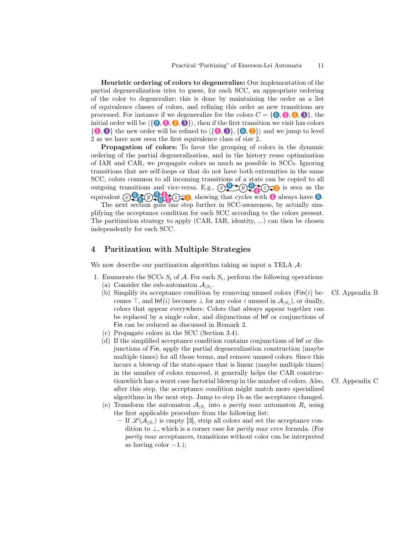Heuristic ordering of colors to degeneralize: Our implementation of the partial degeneralization tries to guess, for each SCC, an appropriate ordering of the color to degeneralize: this is done by maintaining the order as a list of equivalence classes of colors, and refining this order as new transitions are processed. For instance if we degeneralize for the colors  $C = \{ \mathbf{0}, \mathbf{0}, \mathbf{0}, \mathbf{0}, \mathbf{0} \}$ , the initial order will be  $\langle \{ \mathbf{0}, \mathbf{0}, \mathbf{0}, \mathbf{0} \rangle \rangle$ , then if the first transition we visit has colors  $\{ 0, 0 \}$  the new order will be refined to  $\{ 0, 0 \}$ ,  $\{ 0, 0 \}$  and we jump to level 2 as we have now seen the first equivalence class of size 2.

Propagation of colors: To favor the grouping of colors in the dynamic ordering of the partial degeneralization, and in the history reuse optimization of IAR and CAR, we propagate colors as much as possible in SCCs. Ignoring transitions that are self-loops or that do not have both extremities in the same SCC, colors common to all incoming transitions of a state can be copied to all outgoing transitions and vice-versa. E.g.,  $(x)$   $(y)$   $(z)$   $(z)$  is seen as the equivalent  $x \rightarrow 0$  , showing that cycles with  $\bullet$  always have  $\bullet$ .

The next section goes one step further in SCC-awareness, by actually simplifying the acceptance condition for each SCC according to the colors present. The paritization strategy to apply (CAR, IAR, identity, ...) can then be chosen independently for each SCC.

### <span id="page-10-0"></span>4 Paritization with Multiple Strategies

We now describe our paritization algorithm taking as input a TELA  $\mathcal{A}$ :

- <span id="page-10-4"></span><span id="page-10-3"></span><span id="page-10-2"></span><span id="page-10-1"></span>1. Enumerate the SCCs  $S_i$  of A. For each  $S_i$ , perform the following operations: (a) Consider the sub-automaton  $\mathcal{A}_{|S_i}$ .
	- (b) Simplify its acceptance condition by removing unused colors (Fin(i) be- Cf. Appendix [B](#page-16-1) comes  $\top$ , and  $\mathsf{Inf}(i)$  becomes  $\bot$  for any color i unused in  $\mathcal{A}_{|S_i}$ , or dually, colors that appear everywhere. Colors that always appear together can be replaced by a single color, and disjunctions of Inf or conjunctions of Fin can be reduced as discussed in Remark [2.](#page-3-2)
	- (c) Propagate colors in the SCC (Section [3.4\)](#page-9-0).
	- (d) If the simplified acceptance condition contains conjunctions of Inf or disjunctions of Fin, apply the partial degeneralization construction (maybe multiple times) for all those terms, and remove unused colors. Since this incurs a blowup of the state-space that is linear (maybe multiple times) in the number of colors removed, it generally helps the CAR constructionwhich has a worst case factorial blowup in the number of colors. Also, Cf. Appendix [C](#page-18-0) after this step, the acceptance condition might match more specialized algorithms in the next step. Jump to step [1b](#page-10-1) as the acceptance changed.
	- (e) Transform the automaton  $\mathcal{A}_{|S_i}$  into a parity max automaton  $R_i$  using the first applicable procedure from the following list:
		- $-$  If  $\mathscr{L}(\mathcal{A}_{|S_i})$  is empty [\[3\]](#page-15-16), strip all colors and set the acceptance condition to  $\perp$ , which is a corner case for *parity max even* formula. (For parity max acceptances, transitions without color can be interpreted as having color  $-1$ .);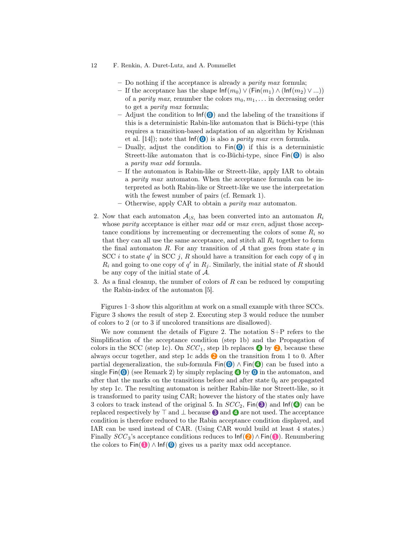– Do nothing if the acceptance is already a *parity max* formula;

- If the acceptance has the shape  $\text{Inf}(m_0) \vee (\text{Fin}(m_1) \wedge (\text{Inf}(m_2) \vee ...)$ of a *parity max*, renumber the colors  $m_0, m_1, \ldots$  in decreasing order to get a parity max formula;
- Adjust the condition to  $\text{Inf}(\textbf{0})$  and the labeling of the transitions if this is a deterministic Rabin-like automaton that is Büchi-type (this requires a transition-based adaptation of an algorithm by Krishnan et al. [\[14\]](#page-15-17)); note that  $\text{Inf}(\textbf{0})$  is also a *parity max even* formula.
- Dually, adjust the condition to  $\text{Fin}(\bigodot)$  if this is a deterministic Streett-like automaton that is co-Büchi-type, since  $\text{Fin}(\textbf{O})$  is also a parity max odd formula.
- If the automaton is Rabin-like or Streett-like, apply IAR to obtain a parity max automaton. When the acceptance formula can be interpreted as both Rabin-like or Streett-like we use the interpretation with the fewest number of pairs (cf. Remark [1\)](#page-3-3).
- Otherwise, apply CAR to obtain a parity max automaton.
- <span id="page-11-0"></span>2. Now that each automaton  $\mathcal{A}_{|S_i}$  has been converted into an automaton  $R_i$ whose *parity* acceptance is either max odd or max even, adjust those acceptance conditions by incrementing or decrementing the colors of some  $R_i$  so that they can all use the same acceptance, and stitch all  $R_i$  together to form the final automaton R. For any transition of  $A$  that goes from state  $q$  in SCC *i* to state  $q'$  in SCC *j*, R should have a transition for each copy of q in  $R_i$  and going to one copy of  $q'$  in  $R_j$ . Similarly, the initial state of R should be any copy of the initial state of A.
- <span id="page-11-1"></span>3. As a final cleanup, the number of colors of  $R$  can be reduced by computing the Rabin-index of the automaton [\[5\]](#page-15-18).

Figures [1](#page-8-0)[–3](#page-8-1) show this algorithm at work on a small example with three SCCs. Figure [3](#page-8-1) shows the result of step [2.](#page-11-0) Executing step [3](#page-11-1) would reduce the number of colors to 2 (or to 3 if uncolored transitions are disallowed).

We now comment the details of Figure [2.](#page-8-2) The notation  $S+P$  refers to the Simplification of the acceptance condition (step [1b\)](#page-10-1) and the Propagation of colors in the SCC (step [1c\)](#page-10-2). On  $SCC_1$ , step [1b](#page-10-1) replaces  $\bigcirc$  by  $\bigcirc$ , because these always occur together, and step [1c](#page-10-2) adds  $\bullet$  on the transition from 1 to 0. After partial degeneralization, the sub-formula  $\text{Fin}(\bigodot) \wedge \text{Fin}(\bigodot)$  can be fused into a single  $\text{Fin}(\textbf{0})$  (see Remark [2\)](#page-3-2) by simply replacing  $\textbf{0}$  by  $\textbf{0}$  in the automaton, and after that the marks on the transitions before and after state  $0<sub>0</sub>$  are propagated by step [1c.](#page-10-2) The resulting automaton is neither Rabin-like nor Streett-like, so it is transformed to parity using CAR; however the history of the states only have 3 colors to track instead of the original 5. In  $SCC_2$ ,  $\text{Fin}(\bullet)$  and  $\text{Inf}(\bullet)$  can be replaced respectively by  $\top$  and  $\bot$  because 3 and 4 are not used. The acceptance condition is therefore reduced to the Rabin acceptance condition displayed, and IAR can be used instead of CAR. (Using CAR would build at least 4 states.) Finally  $SCC_3$ 's acceptance conditions reduces to  $\text{Inf}(\bigotimes) \wedge \text{Fin}(\bigotimes)$ . Renumbering the colors to  $\text{Fin}(\bigodot) \wedge \text{Inf}(\bigodot)$  gives us a parity max odd acceptance.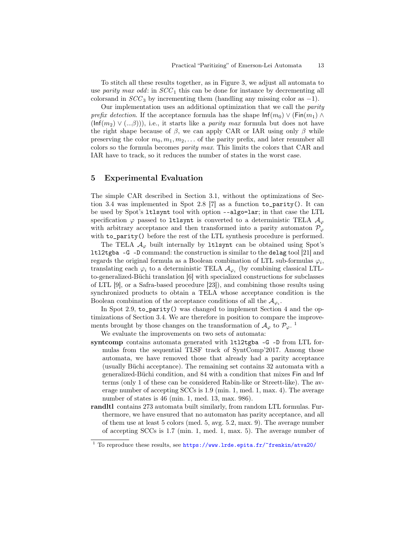To stitch all these results together, as in Figure [3,](#page-8-1) we adjust all automata to use parity max odd: in  $SCC<sub>1</sub>$  this can be done for instance by decrementing all colorsand in  $SCC_3$  by incrementing them (handling any missing color as  $-1$ ).

Our implementation uses an additional optimization that we call the parity *prefix detection.* If the acceptance formula has the shape  $\ln(f(m_0) \vee (\text{Fin}(m_1) \wedge$  $(\text{Inf}(m_2) \vee (\dots \beta)))$ , i.e., it starts like a *parity max* formula but does not have the right shape because of  $\beta$ , we can apply CAR or IAR using only  $\beta$  while preserving the color  $m_0, m_1, m_2, \ldots$  of the parity prefix, and later renumber all colors so the formula becomes parity max. This limits the colors that CAR and IAR have to track, so it reduces the number of states in the worst case.

## <span id="page-12-0"></span>5 Experimental Evaluation

The simple CAR described in Section [3.1,](#page-4-0) without the optimizations of Section [3.4](#page-9-0) was implemented in Spot 2.8 [\[7\]](#page-15-19) as a function to\_parity(). It can be used by Spot's ltlsynt tool with option --algo=lar; in that case the LTL specification  $\varphi$  passed to ltlsynt is converted to a deterministic TELA  $\mathcal{A}_{\varphi}$ with arbitrary acceptance and then transformed into a parity automaton  $\mathcal{P}_{\varphi}$ with to\_parity() before the rest of the LTL synthesis procedure is performed.

The TELA  $\mathcal{A}_{\varphi}$  built internally by 1tlsynt can be obtained using Spot's ltl2tgba -G -D command: the construction is similar to the delag tool [\[21\]](#page-15-5) and regards the original formula as a Boolean combination of LTL sub-formulas  $\varphi_i$ , translating each  $\varphi_i$  to a deterministic TELA  $\mathcal{A}_{\varphi_i}$  (by combining classical LTLto-generalized-Büchi translation [\[6\]](#page-15-20) with specialized constructions for subclasses of LTL [\[9\]](#page-15-21), or a Safra-based procedure [\[23\]](#page-15-4)), and combining those results using synchronized products to obtain a TELA whose acceptance condition is the Boolean combination of the acceptance conditions of all the  $A_{\varphi_i}$ .

In Spot 2.9, to\_parity() was changed to implement Section [4](#page-10-0) and the optimizations of Section [3.4.](#page-9-0) We are therefore in position to compare the improvements brought by those changes on the transformation of  $\mathcal{A}_{\varphi}$  to  $\mathcal{P}_{\varphi}$ .

We evaluate the improvements on two sets of automata:

- syntcomp contains automata generated with ltl2tgba -G -D from LTL formulas from the sequential TLSF track of SyntComp'2017. Among those automata, we have removed those that already had a parity acceptance (usually Büchi acceptance). The remaining set contains 32 automata with a generalized-Büchi condition, and 84 with a condition that mixes Fin and Inf terms (only 1 of these can be considered Rabin-like or Streett-like). The average number of accepting SCCs is 1.9 (min. 1, med. 1, max. 4). The average number of states is 46 (min. 1, med. 13, max. 986).
- randltl contains 273 automata built similarly, from random LTL formulas. Furthermore, we have ensured that no automaton has parity acceptance, and all of them use at least 5 colors (med. 5, avg. 5.2, max. 9). The average number of accepting SCCs is 1.7 (min. 1, med. 1, max. 5). The average number of

<span id="page-12-1"></span><sup>1</sup> To reproduce these results, see <https://www.lrde.epita.fr/~frenkin/atva20/>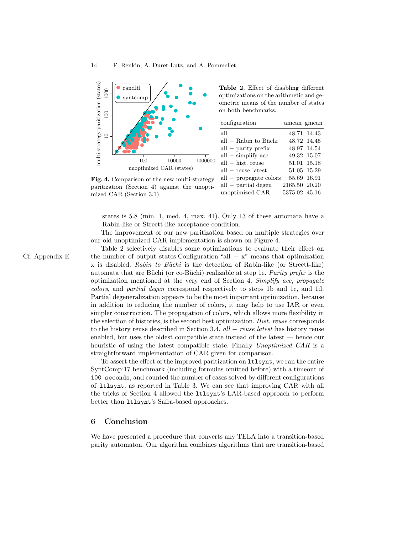

<span id="page-13-1"></span>Table 2. Effect of disabling different optimizations on the arithmetic and geometric means of the number of states on both benchmarks.

| configuration            | amean gmean   |             |
|--------------------------|---------------|-------------|
| all                      |               | 48.71 14.43 |
| all – Rabin to Büchi     |               | 48.72 14.45 |
| $all - parity prefix$    |               | 48.97 14.54 |
| $all -$ simplify acc     |               | 49.32 15.07 |
| $all - hist. reuse$      |               | 51.01 15.18 |
| $all - reuse$ latest     |               | 51.05 15.29 |
| $all$ – propagate colors |               | 55.69 16.91 |
| $all - partial degen$    | 2165.50 20.20 |             |
| unoptimized CAR          | 5375.02 45.16 |             |

<span id="page-13-0"></span>Fig. 4. Comparison of the new multi-strategy paritization (Section [4\)](#page-10-0) against the unoptimized CAR (Section [3.1\)](#page-4-0)

states is 5.8 (min. 1, med. 4, max. 41). Only 13 of these automata have a Rabin-like or Streett-like acceptance condition.

The improvement of our new paritization based on multiple strategies over our old unoptimized CAR implementation is shown on Figure [4.](#page-13-0)

Table [2](#page-13-1) selectively disables some optimizations to evaluate their effect on Cf. Appendix [E](#page-21-0) the number of output states.Configuration "all  $- x$ " means that optimization x is disabled. Rabin to Büchi is the detection of Rabin-like (or Streett-like) automata that are Büchi (or co-Büchi) realizable at step [1e.](#page-10-3) Parity prefix is the optimization mentioned at the very end of Section [4.](#page-10-0) Simplify acc, propagate colors, and partial degen correspond respectively to steps [1b](#page-10-1) and [1c,](#page-10-2) and [1d.](#page-10-4) Partial degeneralization appears to be the most important optimization, because in addition to reducing the number of colors, it may help to use IAR or even simpler construction. The propagation of colors, which allows more flexibility in the selection of histories, is the second best optimization. Hist. reuse corresponds to the history reuse described in Section [3.4.](#page-9-0) all − reuse latest has history reuse enabled, but uses the oldest compatible state instead of the latest — hence our heuristic of using the latest compatible state. Finally Unoptimized CAR is a straightforward implementation of CAR given for comparison.

> To assert the effect of the improved paritization on ltlsynt, we ran the entire SyntComp'17 benchmark (including formulas omitted before) with a timeout of 100 seconds, and counted the number of cases solved by different configurations of ltlsynt, as reported in Table [3.](#page-14-2) We can see that improving CAR with all the tricks of Section [4](#page-10-0) allowed the ltlsynt's LAR-based approach to perform better than ltlsynt's Safra-based approaches.

# 6 Conclusion

We have presented a procedure that converts any TELA into a transition-based parity automaton. Our algorithm combines algorithms that are transition-based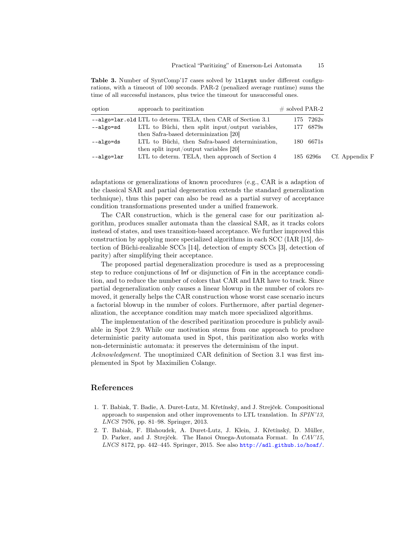<span id="page-14-2"></span>Table 3. Number of SyntComp'17 cases solved by ltlsynt under different configurations, with a timeout of 100 seconds. PAR-2 (penalized average runtime) sums the time of all successful instances, plus twice the timeout for unsuccessful ones.

| option     | approach to paritization                                    | $\#$ solved PAR-2 |           |                |
|------------|-------------------------------------------------------------|-------------------|-----------|----------------|
|            | --algo=lar.old LTL to determ. TELA, then CAR of Section 3.1 |                   | 175 7262s |                |
| --algo=sd  | LTL to Büchi, then split input/output variables,            |                   | 177 6879s |                |
|            | then Safra-based determinization [20]                       |                   |           |                |
| --algo=ds  | LTL to Büchi, then Safra-based determinization,             |                   | 180 6671s |                |
|            | then split input/output variables $[20]$                    |                   |           |                |
| --algo=lar | LTL to determ. TELA, then approach of Section 4             |                   | 185 6296s | Cf. Appendix F |

adaptations or generalizations of known procedures (e.g., CAR is a adaption of the classical SAR and partial degeneration extends the standard generalization technique), thus this paper can also be read as a partial survey of acceptance condition transformations presented under a unified framework.

The CAR construction, which is the general case for our paritization algorithm, produces smaller automata than the classical SAR, as it tracks colors instead of states, and uses transition-based acceptance. We further improved this construction by applying more specialized algorithms in each SCC (IAR [\[15\]](#page-15-11), detection of Büchi-realizable SCCs [\[14\]](#page-15-17), detection of empty SCCs [\[3\]](#page-15-16), detection of parity) after simplifying their acceptance.

The proposed partial degeneralization procedure is used as a preprocessing step to reduce conjunctions of Inf or disjunction of Fin in the acceptance condition, and to reduce the number of colors that CAR and IAR have to track. Since partial degeneralization only causes a linear blowup in the number of colors removed, it generally helps the CAR construction whose worst case scenario incurs a factorial blowup in the number of colors. Furthermore, after partial degeneralization, the acceptance condition may match more specialized algorithms.

The implementation of the described paritization procedure is publicly available in Spot 2.9. While our motivation stems from one approach to produce deterministic parity automata used in Spot, this paritization also works with non-deterministic automata: it preserves the determinism of the input.

Acknowledgment. The unoptimized CAR definition of Section [3.1](#page-4-0) was first implemented in Spot by Maximilien Colange.

# References

- <span id="page-14-1"></span>1. T. Babiak, T. Badie, A. Duret-Lutz, M. Křetínský, and J. Strejček. Compositional approach to suspension and other improvements to LTL translation. In SPIN'13, LNCS 7976, pp. 81–98. Springer, 2013.
- <span id="page-14-0"></span>2. T. Babiak, F. Blahoudek, A. Duret-Lutz, J. Klein, J. Křetínský, D. Müller, D. Parker, and J. Strejček. The Hanoi Omega-Automata Format. In CAV'15, LNCS 8172, pp. 442–445. Springer, 2015. See also <http://adl.github.io/hoaf/>.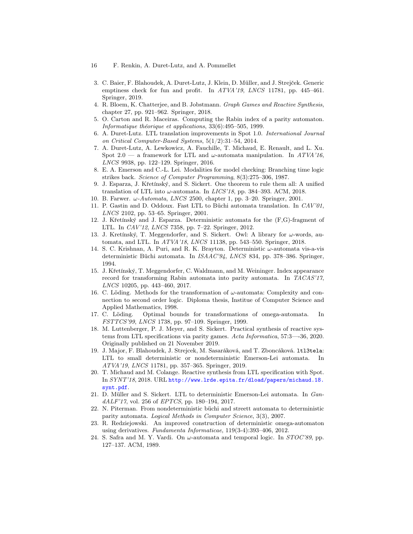- <span id="page-15-16"></span>3. C. Baier, F. Blahoudek, A. Duret-Lutz, J. Klein, D. Müller, and J. Strejček. Generic emptiness check for fun and profit. In ATVA'19, LNCS 11781, pp. 445–461. Springer, 2019.
- <span id="page-15-0"></span>4. R. Bloem, K. Chatterjee, and B. Jobstmann. Graph Games and Reactive Synthesis, chapter 27, pp. 921–962. Springer, 2018.
- <span id="page-15-18"></span>5. O. Carton and R. Maceiras. Computing the Rabin index of a parity automaton. Informatique théorique et applications, 33(6):495–505, 1999.
- <span id="page-15-20"></span>6. A. Duret-Lutz. LTL translation improvements in Spot 1.0. International Journal on Critical Computer-Based Systems, 5(1/2):31–54, 2014.
- <span id="page-15-19"></span>7. A. Duret-Lutz, A. Lewkowicz, A. Fauchille, T. Michaud, E. Renault, and L. Xu. Spot 2.0 — a framework for LTL and  $\omega$ -automata manipulation. In ATVA'16, LNCS 9938, pp. 122–129. Springer, 2016.
- <span id="page-15-13"></span>8. E. A. Emerson and C.-L. Lei. Modalities for model checking: Branching time logic strikes back. Science of Computer Programming, 8(3):275–306, 1987.
- <span id="page-15-21"></span>9. J. Esparza, J. Křetínský, and S. Sickert. One theorem to rule them all: A unified translation of LTL into  $\omega$ -automata. In *LICS'18*, pp. 384–393. ACM, 2018.
- <span id="page-15-10"></span>10. B. Farwer. ω-Automata, LNCS 2500, chapter 1, pp. 3–20. Springer, 2001.
- <span id="page-15-12"></span>11. P. Gastin and D. Oddoux. Fast LTL to Büchi automata translation. In CAV'01, LNCS 2102, pp. 53–65. Springer, 2001.
- <span id="page-15-15"></span>12. J. Křetínský and J. Esparza. Deterministic automata for the (F,G)-fragment of LTL. In CAV'12, LNCS 7358, pp. 7–22. Springer, 2012.
- <span id="page-15-6"></span>13. J. Kretínský, T. Meggendorfer, and S. Sickert. Owl: A library for  $\omega$ -words, automata, and LTL. In ATVA'18, LNCS 11138, pp. 543–550. Springer, 2018.
- <span id="page-15-17"></span>14. S. C. Krishnan, A. Puri, and R. K. Brayton. Deterministic ω-automata vis-a-vis deterministic Büchi automata. In ISAAC'94, LNCS 834, pp. 378–386. Springer, 1994.
- <span id="page-15-11"></span>15. J. Křetínský, T. Meggendorfer, C. Waldmann, and M. Weininger. Index appearance record for transforming Rabin automata into parity automata. In TACAS'17, LNCS 10205, pp. 443–460, 2017.
- <span id="page-15-8"></span>16. C. Löding. Methods for the transformation of  $\omega$ -automata: Complexity and connection to second order logic. Diploma thesis, Institue of Computer Science and Applied Mathematics, 1998.
- <span id="page-15-9"></span>17. C. Löding. Optimal bounds for transformations of omega-automata. In FSTTCS'99, LNCS 1738, pp. 97–109. Springer, 1999.
- <span id="page-15-2"></span>18. M. Luttenberger, P. J. Meyer, and S. Sickert. Practical synthesis of reactive systems from LTL specifications via parity games. Acta Informatica, 57:3—-36, 2020. Originally published on 21 November 2019.
- <span id="page-15-7"></span>19. J. Major, F. Blahoudek, J. Strejcek, M. Sasaráková, and T. Zboncáková. ltl3tela: LTL to small deterministic or nondeterministic Emerson-Lei automata. In ATVA'19, LNCS 11781, pp. 357–365. Springer, 2019.
- <span id="page-15-1"></span>20. T. Michaud and M. Colange. Reactive synthesis from LTL specification with Spot. In SYNT'18, 2018. URL [http://www.lrde.epita.fr/dload/papers/michaud.18.](http://www.lrde.epita.fr/dload/papers/michaud.18.synt.pdf) [synt.pdf](http://www.lrde.epita.fr/dload/papers/michaud.18.synt.pdf).
- <span id="page-15-5"></span>21. D. Müller and S. Sickert. LTL to deterministic Emerson-Lei automata. In Gan $dALF'17$ , vol. 256 of  $EPTCS$ , pp. 180–194, 2017.
- <span id="page-15-3"></span>22. N. Piterman. From nondeterministic büchi and streett automata to deterministic parity automata. Logical Methods in Computer Science, 3(3), 2007.
- <span id="page-15-4"></span>23. R. Redziejowski. An improved construction of deterministic omega-automaton using derivatives. Fundamenta Informaticae, 119(3-4):393–406, 2012.
- <span id="page-15-14"></span>24. S. Safra and M. Y. Vardi. On  $\omega$ -automata and temporal logic. In  $STOC'89$ , pp. 127–137. ACM, 1989.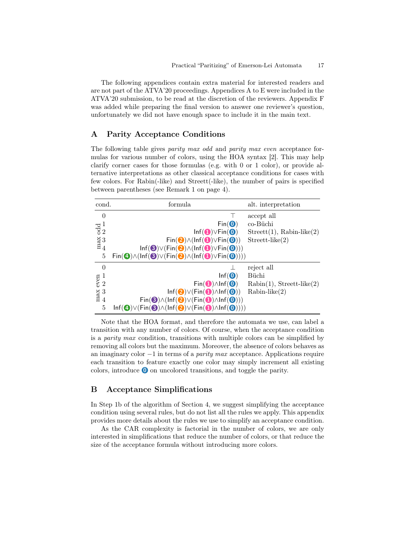The following appendices contain extra material for interested readers and are not part of the ATVA'20 proceedings. Appendices [A](#page-16-0) to [E](#page-21-0) were included in the ATVA'20 submission, to be read at the discretion of the reviewers. Appendix [F](#page-22-0) was added while preparing the final version to answer one reviewer's question, unfortunately we did not have enough space to include it in the main text.

# <span id="page-16-0"></span>A Parity Acceptance Conditions

The following table gives *parity max odd* and *parity max even* acceptance formulas for various number of colors, using the HOA syntax [\[2\]](#page-14-0). This may help clarify corner cases for those formulas (e.g. with 0 or 1 color), or provide alternative interpretations as other classical acceptance conditions for cases with few colors. For Rabin(-like) and Streett(-like), the number of pairs is specified between parentheses (see Remark [1](#page-3-3) on page [4\)](#page-3-3).

| cond.                                             | formula                                                                                                                                                      | alt. interpretation             |  |
|---------------------------------------------------|--------------------------------------------------------------------------------------------------------------------------------------------------------------|---------------------------------|--|
| $\Omega$                                          | т                                                                                                                                                            | accept all                      |  |
|                                                   | $Fin(\mathbf{O})$                                                                                                                                            | co-Büchi                        |  |
| $\frac{1}{8}$                                     | $Inf(①) \vee Fin(③)$                                                                                                                                         | $Street(1), Rabin-like(2)$      |  |
| $\begin{array}{c}\n 3 \\ 4\n \end{array}$         | $Fin(\mathbf{Q}) \wedge (Inf(\mathbf{Q}) \vee Fin(\mathbf{Q}))$                                                                                              | $Street$ -like $(2)$            |  |
|                                                   | $Inf(\mathbf{\Theta}) \vee (Fin(\mathbf{\Omega}) \wedge (Inf(\mathbf{\Theta}) \vee Fin(\mathbf{\Theta})))$                                                   |                                 |  |
| 5                                                 | $Fin(\mathbf{Q}) \wedge (Inf(\mathbf{S}) \vee (Fin(\mathbf{Q}) \wedge (Inf(\mathbf{Q}) \vee Fin(\mathbf{Q})))))$                                             |                                 |  |
| $\Omega$                                          |                                                                                                                                                              | reject all                      |  |
|                                                   | Inf(0)                                                                                                                                                       | Büchi                           |  |
| $\underset{\mathbb{Q}}{\mathbb{E}}\, \frac{1}{2}$ | $Fin(\bullet) \wedge Inf(\bullet)$                                                                                                                           | $Rabin(1)$ , Streett-like $(2)$ |  |
| $\underset{4}{\overset{8}{\text{as}}} 3$          | $Inf(\textbf{2}) \vee (Fin(\textbf{1}) \wedge Inf(\textbf{0}))$                                                                                              | $Rabin-like(2)$                 |  |
|                                                   | $Fin(\mathbf{\Theta}) \wedge (Inf(\mathbf{\Theta}) \vee (Fin(\mathbf{\Theta}) \wedge Inf(\mathbf{\Theta})))$                                                 |                                 |  |
| 5                                                 | $\mathsf{Inf}(\mathbf{Q}) \vee (\mathsf{Fin}(\mathbf{Q}) \wedge (\mathsf{Inf}(\mathbf{Q}) \vee (\mathsf{Fin}(\mathbf{Q}) \wedge \mathsf{Inf}(\mathbf{Q}))))$ |                                 |  |

Note that the HOA format, and therefore the automata we use, can label a transition with any number of colors. Of course, when the acceptance condition is a parity max condition, transitions with multiple colors can be simplified by removing all colors but the maximum. Moreover, the absence of colors behaves as an imaginary color −1 in terms of a parity max acceptance. Applications require each transition to feature exactly one color may simply increment all existing colors, introduce 0 on uncolored transitions, and toggle the parity.

# <span id="page-16-1"></span>B Acceptance Simplifications

In Step [1b](#page-10-1) of the algorithm of Section [4,](#page-10-0) we suggest simplifying the acceptance condition using several rules, but do not list all the rules we apply. This appendix provides more details about the rules we use to simplify an acceptance condition.

As the CAR complexity is factorial in the number of colors, we are only interested in simplifications that reduce the number of colors, or that reduce the size of the acceptance formula without introducing more colors.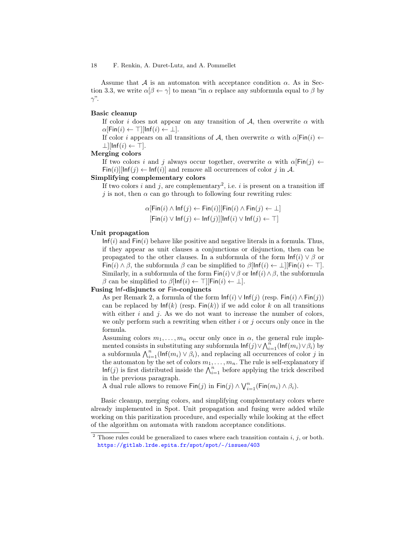Assume that A is an automaton with acceptance condition  $\alpha$ . As in Sec-tion [3.3,](#page-6-0) we write  $\alpha[\beta \leftarrow \gamma]$  to mean "in  $\alpha$  replace any subformula equal to  $\beta$  by  $\gamma$ ".

#### Basic cleanup

If color i does not appear on any transition of A, then overwrite  $\alpha$  with  $\alpha$ [Fin(i) ← T][Inf(i) ← ⊥].

If color i appears on all transitions of A, then overwrite  $\alpha$  with  $\alpha$ [Fin(i)  $\leftarrow$  $\perp$ ][Inf(i) ←  $\top$ ].

### Merging colors

If two colors i and j always occur together, overwrite  $\alpha$  with  $\alpha$ [Fin(j)  $\leftarrow$  $\text{Fin}(i)[\text{Inf}(j) \leftarrow \text{Inf}(i)]$  and remove all occurrences of color j in A.

### Simplifying complementary colors

If two colors i and j, are complementary<sup>[2](#page-17-0)</sup>, i.e. i is present on a transition iff j is not, then  $\alpha$  can go through to following four rewriting rules:

$$
\alpha[\mathsf{Fin}(i) \land \mathsf{Inf}(j) \leftarrow \mathsf{Fin}(i)][\mathsf{Fin}(i) \land \mathsf{Fin}(j) \leftarrow \bot]
$$

$$
[\mathsf{Fin}(i) \lor \mathsf{Inf}(j) \leftarrow \mathsf{Inf}(j)][\mathsf{Inf}(i) \lor \mathsf{Inf}(j) \leftarrow \top]
$$

### Unit propagation

 $\text{Inf}(i)$  and  $\text{Fin}(i)$  behave like positive and negative literals in a formula. Thus, if they appear as unit clauses a conjunctions or disjunction, then can be propagated to the other clauses. In a subformula of the form  $\text{Inf}(i) \vee \beta$  or  $\text{Fin}(i) \wedge \beta$ , the subformula  $\beta$  can be simplified to  $\beta[\text{Inf}(i) \leftarrow \bot]$ [Fin $(i) \leftarrow \top$ ]. Similarly, in a subformula of the form  $\text{Fin}(i) \vee \beta$  or  $\text{Inf}(i) \wedge \beta$ , the subformula β can be simplified to  $\beta$ [lnf(i) ←  $\top$ [Fin(i) ←  $\bot$ ].

### Fusing Inf-disjuncts or Fin-conjuncts

As per Remark [2,](#page-3-2) a formula of the form  $\text{Inf}(i) \vee \text{Inf}(j)$  (resp.  $\text{Fin}(i) \wedge \text{Fin}(j)$ ) can be replaced by  $\textsf{Inf}(k)$  (resp. Fin $(k)$ ) if we add color k on all transitions with either  $i$  and  $j$ . As we do not want to increase the number of colors, we only perform such a rewriting when either  $i$  or  $j$  occurs only once in the formula.

Assuming colors  $m_1, \ldots, m_n$  occur only once in  $\alpha$ , the general rule implemented consists in substituting any subformula  $\text{Inf}(j) \vee \bigwedge_{i=1}^{n} (\text{Inf}(m_i) \vee \beta_i)$  by a subformula  $\bigwedge_{i=1}^n (\text{Inf}(m_i) \vee \beta_i)$ , and replacing all occurrences of color j in the automaton by the set of colors  $m_1, \ldots, m_n$ . The rule is self-explanatory if  $\mathsf{Inf}(j)$  is first distributed inside the  $\bigwedge_{i=1}^n$  before applying the trick described in the previous paragraph.

A dual rule allows to remove  $\textsf{Fin}(j)$  in  $\textsf{Fin}(j) \wedge \bigvee_{i=1}^n (\textsf{Fin}(m_i) \wedge \beta_i)$ .

Basic cleanup, merging colors, and simplifying complementary colors where already implemented in Spot. Unit propagation and fusing were added while working on this paritization procedure, and especially while looking at the effect of the algorithm on automata with random acceptance conditions.

<span id="page-17-0"></span><sup>&</sup>lt;sup>2</sup> Those rules could be generalized to cases where each transition contain  $i, j$ , or both. <https://gitlab.lrde.epita.fr/spot/spot/-/issues/403>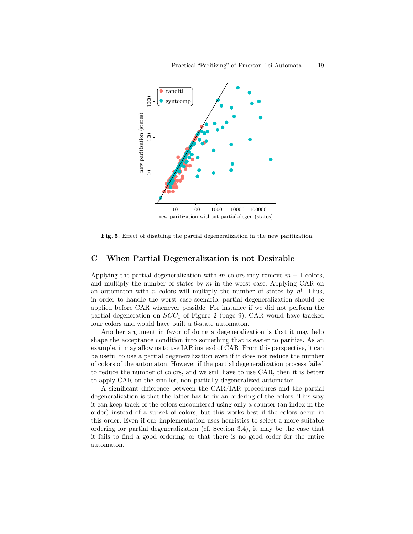

<span id="page-18-1"></span>Fig. 5. Effect of disabling the partial degeneralization in the new paritization.

# <span id="page-18-0"></span>C When Partial Degeneralization is not Desirable

Applying the partial degeneralization with m colors may remove  $m-1$  colors, and multiply the number of states by  $m$  in the worst case. Applying CAR on an automaton with n colors will multiply the number of states by  $n!$ . Thus, in order to handle the worst case scenario, partial degeneralization should be applied before CAR whenever possible. For instance if we did not perform the partial degeneration on  $SCC<sub>1</sub>$  of Figure [2](#page-8-2) (page [9\)](#page-8-2), CAR would have tracked four colors and would have built a 6-state automaton.

Another argument in favor of doing a degeneralization is that it may help shape the acceptance condition into something that is easier to paritize. As an example, it may allow us to use IAR instead of CAR. From this perspective, it can be useful to use a partial degeneralization even if it does not reduce the number of colors of the automaton. However if the partial degeneralization process failed to reduce the number of colors, and we still have to use CAR, then it is better to apply CAR on the smaller, non-partially-degeneralized automaton.

A significant difference between the CAR/IAR procedures and the partial degeneralization is that the latter has to fix an ordering of the colors. This way it can keep track of the colors encountered using only a counter (an index in the order) instead of a subset of colors, but this works best if the colors occur in this order. Even if our implementation uses heuristics to select a more suitable ordering for partial degeneralization (cf. Section [3.4\)](#page-9-0), it may be the case that it fails to find a good ordering, or that there is no good order for the entire automaton.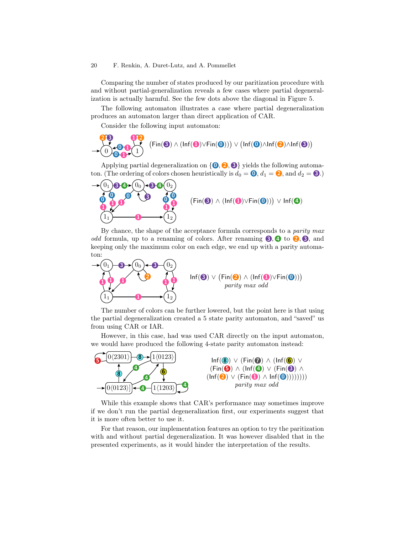Comparing the number of states produced by our paritization procedure with and without partial-generalization reveals a few cases where partial degeneralization is actually harmful. See the few dots above the diagonal in Figure [5.](#page-18-1)

The following automaton illustrates a case where partial degeneralization produces an automaton larger than direct application of CAR.

Consider the following input automaton:

0 1 0 1 2 3 0 1 1 2 Fin( 3 ) ∧ (Inf( 1 )∨Fin( 0 )) ∨ Inf( 0 )∧Inf( 2 )∧Inf( 3 ) 

Applying partial degeneralization on  $\{0, 0, 0\}$  yields the following automaton. (The ordering of colors chosen heuristically is  $d_0 = \mathbf{0}$ ,  $d_1 = \mathbf{2}$ , and  $d_2 = \mathbf{3}$ .)



By chance, the shape of the acceptance formula corresponds to a parity max *odd* formula, up to a renaming of colors. After renaming  $\bigotimes$ ,  $\bigotimes$  to  $\bigotimes$ ,  $\bigotimes$ , and keeping only the maximum color on each edge, we end up with a parity automaton:



The number of colors can be further lowered, but the point here is that using the partial degeneralization created a 5 state parity automaton, and "saved" us from using CAR or IAR.

However, in this case, had was used CAR directly on the input automaton, we would have produced the following 4-state parity automaton instead:



While this example shows that CAR's performance may sometimes improve if we don't run the partial degeneralization first, our experiments suggest that it is more often better to use it.

For that reason, our implementation features an option to try the paritization with and without partial degeneralization. It was however disabled that in the presented experiments, as it would hinder the interpretation of the results.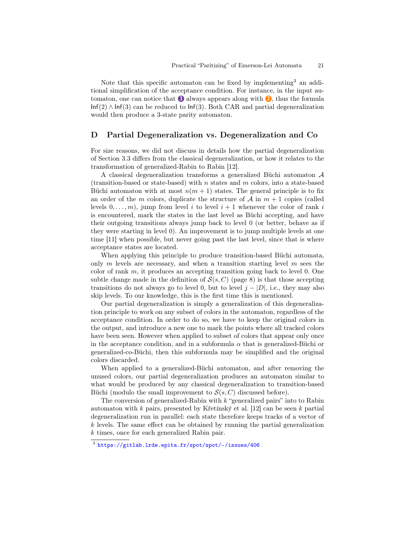Note that this specific automaton can be fixed by implementing<sup>[3](#page-20-1)</sup> an additional simplification of the acceptance condition. For instance, in the input automaton, one can notice that 3 always appears along with  $\bullet$ , thus the formula  $\text{Inf}(2) \wedge \text{Inf}(3)$  can be reduced to  $\text{Inf}(3)$ . Both CAR and partial degeneralization would then produce a 3-state parity automaton.

### <span id="page-20-0"></span>D Partial Degeneralization vs. Degeneralization and Co

For size reasons, we did not discuss in details how the partial degeneralization of Section [3.3](#page-6-0) differs from the classical degeneralization, or how it relates to the transformation of generalized-Rabin to Rabin [\[12\]](#page-15-15).

A classical degeneralization transforms a generalized Büchi automaton A (transition-based or state-based) with n states and m colors, into a state-based Büchi automaton with at most  $n(m + 1)$  states. The general principle is to fix an order of the m colors, duplicate the structure of  $A$  in  $m + 1$  copies (called levels  $0, \ldots, m$ , jump from level i to level  $i + 1$  whenever the color of rank i is encountered, mark the states in the last level as Büchi accepting, and have their outgoing transitions always jump back to level 0 (or better, behave as if they were starting in level 0). An improvement is to jump multiple levels at one time [\[11\]](#page-15-12) when possible, but never going past the last level, since that is where acceptance states are located.

When applying this principle to produce transition-based Büchi automata, only  $m$  levels are necessary, and when a transition starting level  $m$  sees the color of rank  $m$ , it produces an accepting transition going back to level 0. One subtle change made in the definition of  $S(s, C)$  (page [8\)](#page-6-0) is that those accepting transitions do not always go to level 0, but to level  $j - |D|$ , i.e., they may also skip levels. To our knowledge, this is the first time this is mentioned.

Our partial degeneralization is simply a generalization of this degeneralization principle to work on any subset of colors in the automaton, regardless of the acceptance condition. In order to do so, we have to keep the original colors in the output, and introduce a new one to mark the points where all tracked colors have been seen. However when applied to subset of colors that appear only once in the acceptance condition, and in a subformula  $\alpha$  that is generalized-Büchi or generalized-co-Büchi, then this subformula may be simplified and the original colors discarded.

When applied to a generalized-Büchi automaton, and after removing the unused colors, our partial degeneralization produces an automaton similar to what would be produced by any classical degeneralization to transition-based Büchi (modulo the small improvement to  $S(s, C)$  discussed before).

The conversion of generalized-Rabin with  $k$  "generalized pairs" into to Rabin automaton with  $k$  pairs, presented by Křetínský et al. [\[12\]](#page-15-15) can be seen  $k$  partial degeneralization run in parallel: each state therefore keeps tracks of a vector of k levels. The same effect can be obtained by running the partial generalization k times, once for each generalized Rabin pair.

<span id="page-20-1"></span> $^3$ <https://gitlab.lrde.epita.fr/spot/spot/-/issues/406>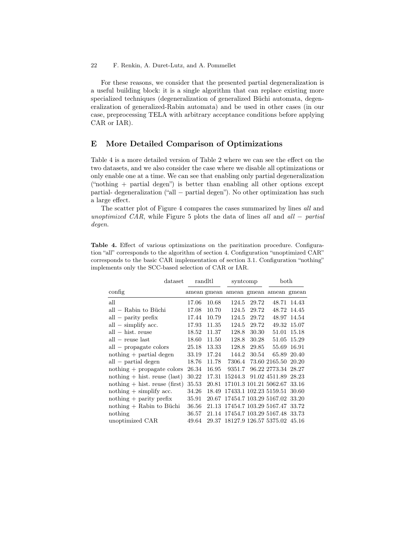For these reasons, we consider that the presented partial degeneralization is a useful building block: it is a single algorithm that can replace existing more specialized techniques (degeneralization of generalized Büchi automata, degeneralization of generalized-Rabin automata) and be used in other cases (in our case, preprocessing TELA with arbitrary acceptance conditions before applying CAR or IAR).

# <span id="page-21-0"></span>E More Detailed Comparison of Optimizations

Table [4](#page-21-1) is a more detailed version of Table [2](#page-13-1) where we can see the effect on the two datasets, and we also consider the case where we disable all optimizations or only enable one at a time. We can see that enabling only partial degeneralization ("nothing + partial degen") is better than enabling all other options except partial- degeneralization ("all − partial degen"). No other optimization has such a large effect.

The scatter plot of Figure [4](#page-13-0) compares the cases summarized by lines all and unoptimized CAR, while Figure [5](#page-18-1) plots the data of lines all and  $all - partial$ degen.

<span id="page-21-1"></span>Table 4. Effect of various optimizations on the paritization procedure. Configuration "all" corresponds to the algorithm of section [4.](#page-10-0) Configuration "unoptimized CAR" corresponds to the basic CAR implementation of section [3.1.](#page-4-0) Configuration "nothing" implements only the SCC-based selection of CAR or IAR.

| dataset                         | randltl |       | syntcomp |       | $_{\rm both}$                       |             |
|---------------------------------|---------|-------|----------|-------|-------------------------------------|-------------|
| config                          |         |       |          |       | amean gmean amean gmean amean gmean |             |
| all                             | 17.06   | 10.68 | 124.5    | 29.72 |                                     | 48.71 14.43 |
| all – Rabin to Büchi            | 17.08   | 10.70 | 124.5    | 29.72 |                                     | 48.72 14.45 |
| $all -$ parity prefix           | 17.44   | 10.79 | 124.5    | 29.72 | 48.97                               | 14.54       |
| all $-$ simplify acc.           | 17.93   | 11.35 | 124.5    | 29.72 |                                     | 49.32 15.07 |
| $all - hist. reuse$             | 18.52   | 11.37 | 128.8    | 30.30 | 51.01                               | 15.18       |
| all – reuse last                | 18.60   | 11.50 | 128.8    | 30.28 |                                     | 51.05 15.29 |
| $all$ – propagate colors        | 25.18   | 13.33 | 128.8    | 29.85 | 55.69                               | 16.91       |
| $nothing + partial degen$       | 33.19   | 17.24 | 144.2    | 30.54 | 65.89                               | 20.40       |
| all – partial degen             | 18.76   | 11.78 | 7306.4   |       | 73.60 2165.50                       | 20.20       |
| $nothing + propagate colors$    | 26.34   | 16.95 | 9351.7   |       | 96.22 2773.34                       | 28.27       |
| nothing $+$ hist. reuse (last)  | 30.22   | 17.31 | 15244.3  |       | 91.02 4511.89                       | 28.23       |
| nothing $+$ hist. reuse (first) | 35.53   | 20.81 |          |       | 17101.3 101.21 5062.67              | 33.16       |
| nothing $+$ simplify acc.       | 34.26   | 18.49 |          |       | 17433.1 102.23 5159.51              | 30.60       |
| $nothing + parity prefix$       | 35.91   | 20.67 |          |       | 17454.7 103.29 5167.02              | 33.20       |
| $nothing + Rabin$ to Büchi      | 36.56   | 21.13 |          |       | 17454.7 103.29 5167.47              | 33.72       |
| nothing                         | 36.57   | 21.14 |          |       | 17454.7 103.29 5167.48              | 33.73       |
| unoptimized CAR                 | 49.64   |       |          |       | 29.37 18127.9 126.57 5375.02        | 45.16       |